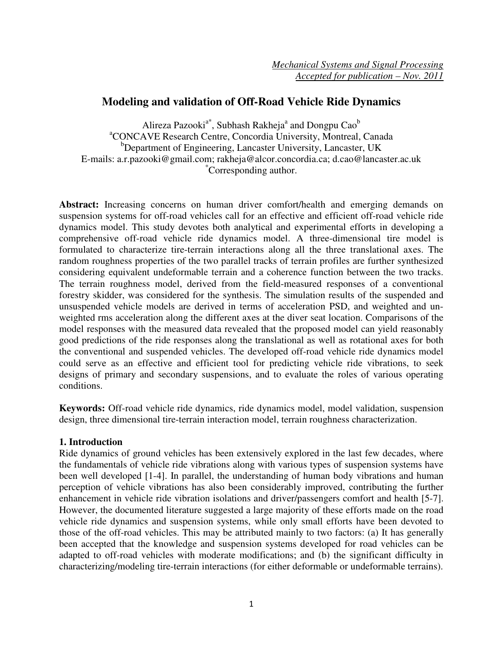# **Modeling and validation of Off-Road Vehicle Ride Dynamics**

Alireza Pazooki<sup>a\*</sup>, Subhash Rakheja<sup>a</sup> and Dongpu Cao<sup>b</sup> <sup>a</sup>CONCAVE Research Centre, Concordia University, Montreal, Canada <sup>b</sup>Department of Engineering, Lancaster University, Lancaster, UK E-mails: a.r.pazooki@gmail.com; rakheja@alcor.concordia.ca; d.cao@lancaster.ac.uk \*Corresponding author.

**Abstract:** Increasing concerns on human driver comfort/health and emerging demands on suspension systems for off-road vehicles call for an effective and efficient off-road vehicle ride dynamics model. This study devotes both analytical and experimental efforts in developing a comprehensive off-road vehicle ride dynamics model. A three-dimensional tire model is formulated to characterize tire-terrain interactions along all the three translational axes. The random roughness properties of the two parallel tracks of terrain profiles are further synthesized considering equivalent undeformable terrain and a coherence function between the two tracks. The terrain roughness model, derived from the field-measured responses of a conventional forestry skidder, was considered for the synthesis. The simulation results of the suspended and unsuspended vehicle models are derived in terms of acceleration PSD, and weighted and unweighted rms acceleration along the different axes at the diver seat location. Comparisons of the model responses with the measured data revealed that the proposed model can yield reasonably good predictions of the ride responses along the translational as well as rotational axes for both the conventional and suspended vehicles. The developed off-road vehicle ride dynamics model could serve as an effective and efficient tool for predicting vehicle ride vibrations, to seek designs of primary and secondary suspensions, and to evaluate the roles of various operating conditions.

**Keywords:** Off-road vehicle ride dynamics, ride dynamics model, model validation, suspension design, three dimensional tire-terrain interaction model, terrain roughness characterization.

# **1. Introduction**

Ride dynamics of ground vehicles has been extensively explored in the last few decades, where the fundamentals of vehicle ride vibrations along with various types of suspension systems have been well developed [1-4]. In parallel, the understanding of human body vibrations and human perception of vehicle vibrations has also been considerably improved, contributing the further enhancement in vehicle ride vibration isolations and driver/passengers comfort and health [5-7]. However, the documented literature suggested a large majority of these efforts made on the road vehicle ride dynamics and suspension systems, while only small efforts have been devoted to those of the off-road vehicles. This may be attributed mainly to two factors: (a) It has generally been accepted that the knowledge and suspension systems developed for road vehicles can be adapted to off-road vehicles with moderate modifications; and (b) the significant difficulty in characterizing/modeling tire-terrain interactions (for either deformable or undeformable terrains).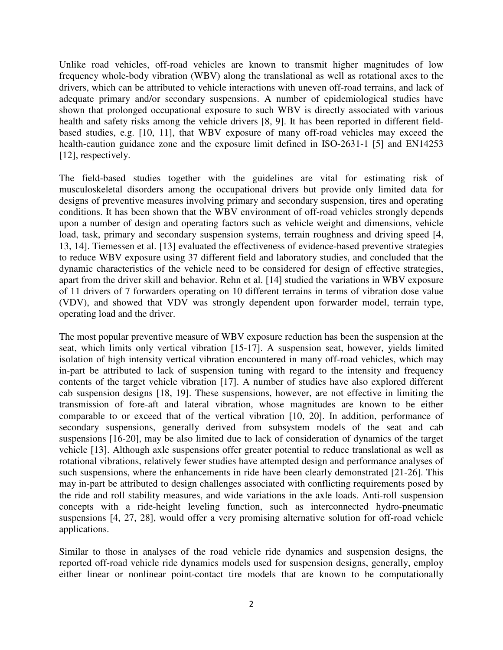Unlike road vehicles, off-road vehicles are known to transmit higher magnitudes of low frequency whole-body vibration (WBV) along the translational as well as rotational axes to the drivers, which can be attributed to vehicle interactions with uneven off-road terrains, and lack of adequate primary and/or secondary suspensions. A number of epidemiological studies have shown that prolonged occupational exposure to such WBV is directly associated with various health and safety risks among the vehicle drivers [8, 9]. It has been reported in different fieldbased studies, e.g. [10, 11], that WBV exposure of many off-road vehicles may exceed the health-caution guidance zone and the exposure limit defined in ISO-2631-1 [5] and EN14253 [12], respectively.

The field-based studies together with the guidelines are vital for estimating risk of musculoskeletal disorders among the occupational drivers but provide only limited data for designs of preventive measures involving primary and secondary suspension, tires and operating conditions. It has been shown that the WBV environment of off-road vehicles strongly depends upon a number of design and operating factors such as vehicle weight and dimensions, vehicle load, task, primary and secondary suspension systems, terrain roughness and driving speed [4, 13, 14]. Tiemessen et al. [13] evaluated the effectiveness of evidence-based preventive strategies to reduce WBV exposure using 37 different field and laboratory studies, and concluded that the dynamic characteristics of the vehicle need to be considered for design of effective strategies, apart from the driver skill and behavior. Rehn et al. [14] studied the variations in WBV exposure of 11 drivers of 7 forwarders operating on 10 different terrains in terms of vibration dose value (VDV), and showed that VDV was strongly dependent upon forwarder model, terrain type, operating load and the driver.

The most popular preventive measure of WBV exposure reduction has been the suspension at the seat, which limits only vertical vibration [15-17]. A suspension seat, however, yields limited isolation of high intensity vertical vibration encountered in many off-road vehicles, which may in-part be attributed to lack of suspension tuning with regard to the intensity and frequency contents of the target vehicle vibration [17]. A number of studies have also explored different cab suspension designs [18, 19]. These suspensions, however, are not effective in limiting the transmission of fore-aft and lateral vibration, whose magnitudes are known to be either comparable to or exceed that of the vertical vibration [10, 20]. In addition, performance of secondary suspensions, generally derived from subsystem models of the seat and cab suspensions [16-20], may be also limited due to lack of consideration of dynamics of the target vehicle [13]. Although axle suspensions offer greater potential to reduce translational as well as rotational vibrations, relatively fewer studies have attempted design and performance analyses of such suspensions, where the enhancements in ride have been clearly demonstrated [21-26]. This may in-part be attributed to design challenges associated with conflicting requirements posed by the ride and roll stability measures, and wide variations in the axle loads. Anti-roll suspension concepts with a ride-height leveling function, such as interconnected hydro-pneumatic suspensions [4, 27, 28], would offer a very promising alternative solution for off-road vehicle applications.

Similar to those in analyses of the road vehicle ride dynamics and suspension designs, the reported off-road vehicle ride dynamics models used for suspension designs, generally, employ either linear or nonlinear point-contact tire models that are known to be computationally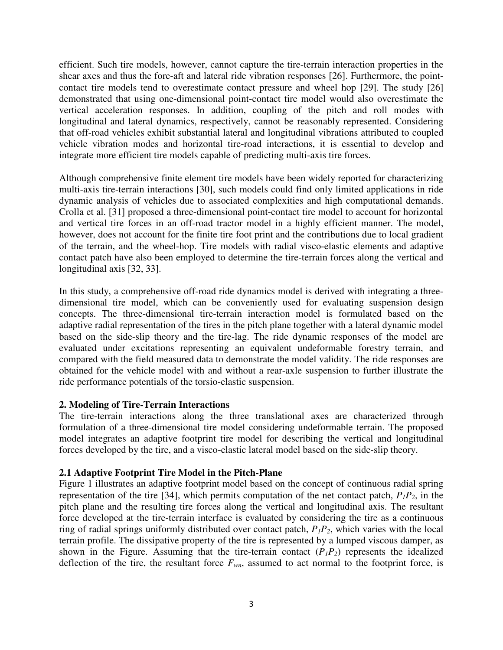efficient. Such tire models, however, cannot capture the tire-terrain interaction properties in the shear axes and thus the fore-aft and lateral ride vibration responses [26]. Furthermore, the pointcontact tire models tend to overestimate contact pressure and wheel hop [29]. The study [26] demonstrated that using one-dimensional point-contact tire model would also overestimate the vertical acceleration responses. In addition, coupling of the pitch and roll modes with longitudinal and lateral dynamics, respectively, cannot be reasonably represented. Considering that off-road vehicles exhibit substantial lateral and longitudinal vibrations attributed to coupled vehicle vibration modes and horizontal tire-road interactions, it is essential to develop and integrate more efficient tire models capable of predicting multi-axis tire forces.

Although comprehensive finite element tire models have been widely reported for characterizing multi-axis tire-terrain interactions [30], such models could find only limited applications in ride dynamic analysis of vehicles due to associated complexities and high computational demands. Crolla et al. [31] proposed a three-dimensional point-contact tire model to account for horizontal and vertical tire forces in an off-road tractor model in a highly efficient manner. The model, however, does not account for the finite tire foot print and the contributions due to local gradient of the terrain, and the wheel-hop. Tire models with radial visco-elastic elements and adaptive contact patch have also been employed to determine the tire-terrain forces along the vertical and longitudinal axis [32, 33].

In this study, a comprehensive off-road ride dynamics model is derived with integrating a threedimensional tire model, which can be conveniently used for evaluating suspension design concepts. The three-dimensional tire-terrain interaction model is formulated based on the adaptive radial representation of the tires in the pitch plane together with a lateral dynamic model based on the side-slip theory and the tire-lag. The ride dynamic responses of the model are evaluated under excitations representing an equivalent undeformable forestry terrain, and compared with the field measured data to demonstrate the model validity. The ride responses are obtained for the vehicle model with and without a rear-axle suspension to further illustrate the ride performance potentials of the torsio-elastic suspension.

# **2. Modeling of Tire-Terrain Interactions**

The tire-terrain interactions along the three translational axes are characterized through formulation of a three-dimensional tire model considering undeformable terrain. The proposed model integrates an adaptive footprint tire model for describing the vertical and longitudinal forces developed by the tire, and a visco-elastic lateral model based on the side-slip theory.

# **2.1 Adaptive Footprint Tire Model in the Pitch-Plane**

Figure 1 illustrates an adaptive footprint model based on the concept of continuous radial spring representation of the tire [34], which permits computation of the net contact patch,  $P_1P_2$ , in the pitch plane and the resulting tire forces along the vertical and longitudinal axis. The resultant force developed at the tire-terrain interface is evaluated by considering the tire as a continuous ring of radial springs uniformly distributed over contact patch,  $P_1P_2$ , which varies with the local terrain profile. The dissipative property of the tire is represented by a lumped viscous damper, as shown in the Figure. Assuming that the tire-terrain contact  $(P_1P_2)$  represents the idealized deflection of the tire, the resultant force  $F_{wn}$ , assumed to act normal to the footprint force, is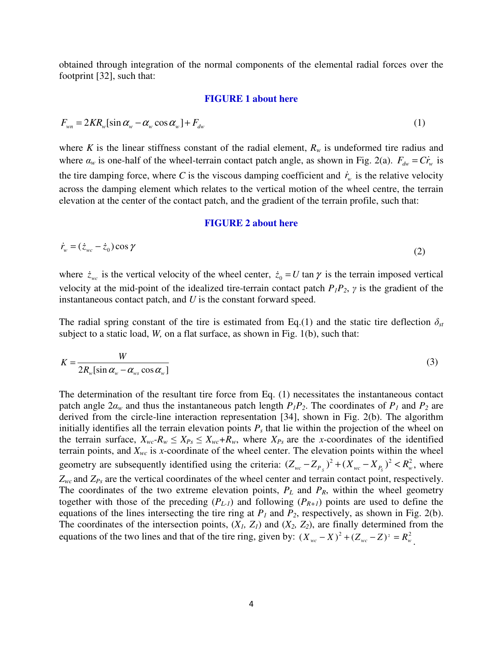obtained through integration of the normal components of the elemental radial forces over the footprint [32], such that:

#### **FIGURE 1 about here**

$$
F_{\rm w} = 2KR_{\rm w}[\sin \alpha_{\rm w} - \alpha_{\rm w} \cos \alpha_{\rm w}] + F_{\rm dw} \tag{1}
$$

where *K* is the linear stiffness constant of the radial element,  $R_w$  is undeformed tire radius and where  $\alpha_w$  is one-half of the wheel-terrain contact patch angle, as shown in Fig. 2(a).  $F_{dw} = C\dot{r}_w$  is the tire damping force, where C is the viscous damping coefficient and  $\dot{r}_w$  is the relative velocity across the damping element which relates to the vertical motion of the wheel centre, the terrain elevation at the center of the contact patch, and the gradient of the terrain profile, such that:

#### **FIGURE 2 about here**

$$
\dot{r}_w = (\dot{z}_{wc} - \dot{z}_0) \cos \gamma \tag{2}
$$

where  $\dot{z}_{wc}$  is the vertical velocity of the wheel center,  $\dot{z}_0 = U \tan \gamma$  is the terrain imposed vertical velocity at the mid-point of the idealized tire-terrain contact patch  $P_I P_2$ ,  $\gamma$  is the gradient of the instantaneous contact patch, and *U* is the constant forward speed.

The radial spring constant of the tire is estimated from Eq.(1) and the static tire deflection  $\delta_{st}$ subject to a static load, *W,* on a flat surface, as shown in Fig. 1(b), such that:

$$
K = \frac{W}{2R_w[\sin \alpha_w - \alpha_{ws} \cos \alpha_w]}
$$
 (3)

The determination of the resultant tire force from Eq. (1) necessitates the instantaneous contact patch angle  $2a_w$  and thus the instantaneous patch length  $P_1P_2$ . The coordinates of  $P_1$  and  $P_2$  are derived from the circle-line interaction representation [34], shown in Fig. 2(b). The algorithm initially identifies all the terrain elevation points  $P_s$  that lie within the projection of the wheel on the terrain surface,  $X_{wc}$ - $R_w \leq X_{Ps} \leq X_{wc}$ + $R_w$ , where  $X_{Ps}$  are the *x*-coordinates of the identified terrain points, and  $X_{wc}$  is *x*-coordinate of the wheel center. The elevation points within the wheel geometry are subsequently identified using the criteria:  $(Z_{wc} - Z_{P_s})^2 + (X_{wc} - X_{P_s})^2 < R_w^2$ , where *Zwc* and *ZPs* are the vertical coordinates of the wheel center and terrain contact point, respectively. The coordinates of the two extreme elevation points,  $P_L$  and  $P_R$ , within the wheel geometry together with those of the preceding  $(P_{L-1})$  and following  $(P_{R+1})$  points are used to define the equations of the lines intersecting the tire ring at *P1* and *P2*, respectively, as shown in Fig. 2(b). The coordinates of the intersection points,  $(X_I, Z_I)$  and  $(X_2, Z_2)$ , are finally determined from the equations of the two lines and that of the tire ring, given by:  $(X_{wc} - X)^2 + (Z_{wc} - Z)^2 = R_w^2$ .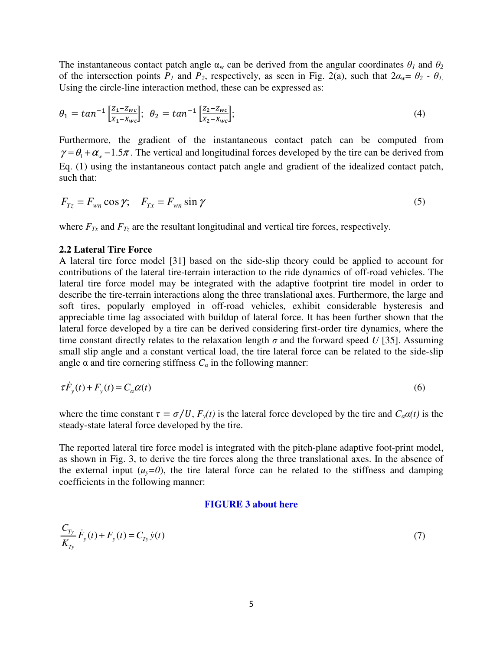The instantaneous contact patch angle  $\alpha_w$  can be derived from the angular coordinates  $\theta_l$  and  $\theta_2$ of the intersection points  $P_1$  and  $P_2$ , respectively, as seen in Fig. 2(a), such that  $2\alpha_w = \theta_2 - \theta_1$ . Using the circle-line interaction method, these can be expressed as:

$$
\theta_1 = \tan^{-1} \left[ \frac{z_1 - z_{wc}}{x_1 - x_{wc}} \right]; \quad \theta_2 = \tan^{-1} \left[ \frac{z_2 - z_{wc}}{x_2 - x_{wc}} \right]; \tag{4}
$$

Furthermore, the gradient of the instantaneous contact patch can be computed from  $\gamma = \theta_1 + \alpha_w - 1.5\pi$ . The vertical and longitudinal forces developed by the tire can be derived from Eq. (1) using the instantaneous contact patch angle and gradient of the idealized contact patch, such that:

$$
F_{T_z} = F_{wn} \cos \gamma; \quad F_{Tx} = F_{wn} \sin \gamma \tag{5}
$$

where  $F_{Tx}$  and  $F_{Tz}$  are the resultant longitudinal and vertical tire forces, respectively.

### **2.2 Lateral Tire Force**

A lateral tire force model [31] based on the side-slip theory could be applied to account for contributions of the lateral tire-terrain interaction to the ride dynamics of off-road vehicles. The lateral tire force model may be integrated with the adaptive footprint tire model in order to describe the tire-terrain interactions along the three translational axes. Furthermore, the large and soft tires, popularly employed in off-road vehicles, exhibit considerable hysteresis and appreciable time lag associated with buildup of lateral force. It has been further shown that the lateral force developed by a tire can be derived considering first-order tire dynamics, where the time constant directly relates to the relaxation length  $\sigma$  and the forward speed *U* [35]. Assuming small slip angle and a constant vertical load, the tire lateral force can be related to the side-slip angle  $\alpha$  and tire cornering stiffness  $C_{\alpha}$  in the following manner:

$$
\tau \dot{F}_y(t) + F_y(t) = C_a \alpha(t) \tag{6}
$$

where the time constant  $\tau = \sigma/U$ ,  $F_y(t)$  is the lateral force developed by the tire and  $C_a\alpha(t)$  is the steady-state lateral force developed by the tire.

The reported lateral tire force model is integrated with the pitch-plane adaptive foot-print model, as shown in Fig. 3, to derive the tire forces along the three translational axes. In the absence of the external input  $(u_y=0)$ , the tire lateral force can be related to the stiffness and damping coefficients in the following manner:

#### **FIGURE 3 about here**

$$
\frac{C_{T_y}}{K_{T_y}} \dot{F}_y(t) + F_y(t) = C_{T_y} \dot{y}(t)
$$
\n(7)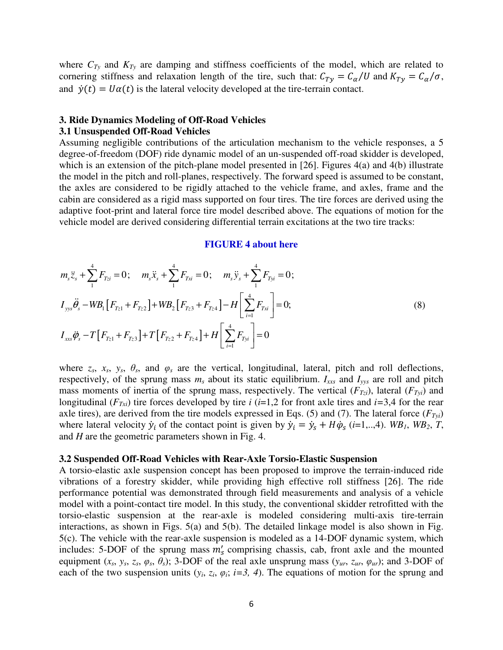where  $C_{Ty}$  and  $K_{Ty}$  are damping and stiffness coefficients of the model, which are related to cornering stiffness and relaxation length of the tire, such that:  $C_{Ty} = C_{\alpha}/U$  and  $K_{Ty} = C_{\alpha}/\sigma$ , and  $\dot{v}(t) = U\alpha(t)$  is the lateral velocity developed at the tire-terrain contact.

#### **3. Ride Dynamics Modeling of Off-Road Vehicles**

## **3.1 Unsuspended Off-Road Vehicles**

Assuming negligible contributions of the articulation mechanism to the vehicle responses, a 5 degree-of-freedom (DOF) ride dynamic model of an un-suspended off-road skidder is developed, which is an extension of the pitch-plane model presented in  $[26]$ . Figures  $4(a)$  and  $4(b)$  illustrate the model in the pitch and roll-planes, respectively. The forward speed is assumed to be constant, the axles are considered to be rigidly attached to the vehicle frame, and axles, frame and the cabin are considered as a rigid mass supported on four tires. The tire forces are derived using the adaptive foot-print and lateral force tire model described above. The equations of motion for the vehicle model are derived considering differential terrain excitations at the two tire tracks:

#### **FIGURE 4 about here**

$$
m_{s}\ddot{z}_{s} + \sum_{1}^{4} F_{Tzi} = 0; \quad m_{s}\ddot{x}_{s} + \sum_{1}^{4} F_{Txi} = 0; \quad m_{s}\ddot{y}_{s} + \sum_{1}^{4} F_{Tyi} = 0;
$$
  
\n
$$
I_{yys}\ddot{\theta}_{s} - WB_{1}[F_{Tz1} + F_{Tz2}] + WB_{2}[F_{Tz3} + F_{Tz4}] - H\left[\sum_{i=1}^{4} F_{Txi}\right] = 0;
$$
  
\n
$$
I_{xxs}\ddot{\phi}_{s} - T[F_{Tz1} + F_{Tz3}] + T[F_{Tz2} + F_{Tz4}] + H\left[\sum_{i=1}^{4} F_{Tyi}\right] = 0
$$
  
\n(8)

where  $z_s$ ,  $x_s$ ,  $y_s$ ,  $\theta_s$ , and  $\varphi_s$  are the vertical, longitudinal, lateral, pitch and roll deflections, respectively, of the sprung mass *ms* about its static equilibrium. *Ixxs* and *Iyys* are roll and pitch mass moments of inertia of the sprung mass, respectively. The vertical  $(F_{Tzi})$ , lateral  $(F_{Tyi})$  and longitudinal ( $F_{Txi}$ ) tire forces developed by tire *i* (*i*=1,2 for front axle tires and *i*=3,4 for the rear axle tires), are derived from the tire models expressed in Eqs. (5) and (7). The lateral force (*FTyi*) where lateral velocity  $\dot{y}_i$  of the contact point is given by  $\dot{y}_i = \dot{y}_s + H\dot{\phi}_s$  (*i*=1,..,4). *WB*<sub>1</sub>, *WB*<sub>2</sub>, *T*, and *H* are the geometric parameters shown in Fig. 4.

#### **3.2 Suspended Off-Road Vehicles with Rear-Axle Torsio-Elastic Suspension**

A torsio-elastic axle suspension concept has been proposed to improve the terrain-induced ride vibrations of a forestry skidder, while providing high effective roll stiffness [26]. The ride performance potential was demonstrated through field measurements and analysis of a vehicle model with a point-contact tire model. In this study, the conventional skidder retrofitted with the torsio-elastic suspension at the rear-axle is modeled considering multi-axis tire-terrain interactions, as shown in Figs. 5(a) and 5(b). The detailed linkage model is also shown in Fig. 5(c). The vehicle with the rear-axle suspension is modeled as a 14-DOF dynamic system, which includes: 5-DOF of the sprung mass  $m'_s$  comprising chassis, cab, front axle and the mounted equipment  $(x_s, y_s, z_s, \varphi_s, \theta_s)$ ; 3-DOF of the real axle unsprung mass  $(y_{ur}, z_{ur}, \varphi_{ur})$ ; and 3-DOF of each of the two suspension units  $(y_i, z_i, \varphi_i; i=3, 4)$ . The equations of motion for the sprung and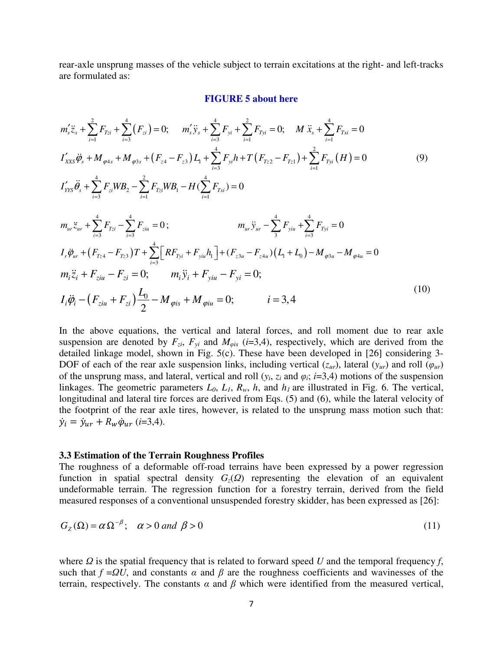rear-axle unsprung masses of the vehicle subject to terrain excitations at the right- and left-tracks are formulated as:

#### **FIGURE 5 about here**

$$
m'_{s}\ddot{z}_{s} + \sum_{i=1}^{2} F_{Tzi} + \sum_{i=3}^{4} (F_{zi}) = 0; \quad m'_{s}\ddot{y}_{s} + \sum_{i=3}^{4} F_{yi} + \sum_{i=1}^{2} F_{Tyi} = 0; \quad M \ddot{x}_{s} + \sum_{i=1}^{4} F_{Txi} = 0
$$
  
\n
$$
I'_{XXS}\ddot{\phi}_{s} + M_{\varphi 4s} + M_{\varphi 3s} + (F_{z4} - F_{z3})L_{1} + \sum_{i=3}^{4} F_{yi}h + T(F_{rz2} - F_{rz1}) + \sum_{i=1}^{2} F_{Tyi} (H) = 0
$$
  
\n
$$
I'_{YYS}\ddot{\theta}_{s} + \sum_{i=3}^{4} F_{zi}WB_{2} - \sum_{i=1}^{2} F_{Tzi}WB_{1} - H(\sum_{i=1}^{4} F_{Txi}) = 0
$$
  
\n
$$
m_{ur}\ddot{z}_{ur} + \sum_{i=3}^{4} F_{Tzi} - \sum_{i=3}^{4} F_{ziu} = 0; \qquad m_{ur}\ddot{y}_{ur} - \sum_{3}^{4} F_{yiu} + \sum_{i=3}^{4} F_{Tyi} = 0
$$
  
\n
$$
I_{r}\ddot{\phi}_{ur} + (F_{Tz4} - F_{Tz3})T + \sum_{i=3}^{4} [RF_{Tyi} + F_{yiu}h_{1}] + (F_{z3u} - F_{z4u})(L_{1} + L_{0}) - M_{\varphi 3u} - M_{\varphi 4u} = 0
$$
  
\n
$$
m_{i}\ddot{z}_{i} + F_{ziu} - F_{zi} = 0; \qquad m_{i}\ddot{y}_{i} + F_{yiu} - F_{yi} = 0;
$$
  
\n
$$
I_{i}\ddot{\phi}_{i} - (F_{ziu} + F_{zi})\frac{L_{0}}{2} - M_{\varphi 1s} + M_{\varphi 1u} = 0; \qquad i = 3, 4
$$
  
\n(10)

In the above equations, the vertical and lateral forces, and roll moment due to rear axle suspension are denoted by  $F_{zi}$ ,  $F_{yi}$  and  $M_{\varphi is}$  (*i*=3,4), respectively, which are derived from the detailed linkage model, shown in Fig. 5(c). These have been developed in [26] considering 3- DOF of each of the rear axle suspension links, including vertical  $(z_{ur})$ , lateral  $(y_{ur})$  and roll  $(\varphi_{ur})$ of the unsprung mass, and lateral, vertical and roll  $(y_i, z_i)$  and  $\varphi_i$ ; *i*=3,4) motions of the suspension linkages. The geometric parameters  $L_0$ ,  $L_1$ ,  $R_w$ ,  $h$ , and  $h_1$  are illustrated in Fig. 6. The vertical, longitudinal and lateral tire forces are derived from Eqs. (5) and (6), while the lateral velocity of the footprint of the rear axle tires, however, is related to the unsprung mass motion such that:  $\dot{y}_i = \dot{y}_{ur} + R_w \dot{\varphi}_{ur}$  (*i*=3,4).

#### **3.3 Estimation of the Terrain Roughness Profiles**

The roughness of a deformable off-road terrains have been expressed by a power regression function in spatial spectral density  $G_z(\Omega)$  representing the elevation of an equivalent undeformable terrain. The regression function for a forestry terrain, derived from the field measured responses of a conventional unsuspended forestry skidder, has been expressed as [26]:

$$
G_Z(\Omega) = \alpha \Omega^{-\beta}; \quad \alpha > 0 \text{ and } \beta > 0 \tag{11}
$$

where  $\Omega$  is the spatial frequency that is related to forward speed *U* and the temporal frequency *f*, such that  $f = QU$ , and constants  $\alpha$  and  $\beta$  are the roughness coefficients and wavinesses of the terrain, respectively. The constants  $\alpha$  and  $\beta$  which were identified from the measured vertical,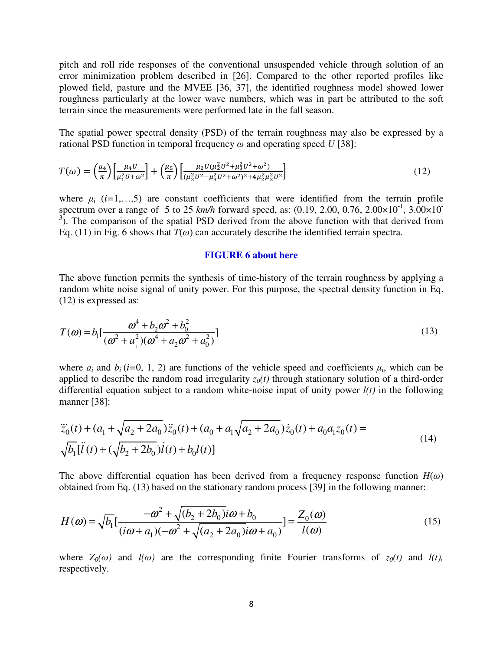pitch and roll ride responses of the conventional unsuspended vehicle through solution of an error minimization problem described in [26]. Compared to the other reported profiles like plowed field, pasture and the MVEE [36, 37], the identified roughness model showed lower roughness particularly at the lower wave numbers, which was in part be attributed to the soft terrain since the measurements were performed late in the fall season.

The spatial power spectral density (PSD) of the terrain roughness may also be expressed by a rational PSD function in temporal frequency  $\omega$  and operating speed *U* [38]:

$$
T(\omega) = \left(\frac{\mu_4}{\pi}\right) \left[\frac{\mu_4 U}{\mu_1^2 U + \omega^2}\right] + \left(\frac{\mu_5}{\pi}\right) \left[\frac{\mu_2 U (\mu_2^2 U^2 + \mu_3^2 U^2 + \omega^2)}{(\mu_2^2 U^2 - \mu_3^2 U^2 + \omega^2)^2 + 4\mu_2^2 \mu_3^2 U^2}\right]
$$
(12)

where  $\mu_i$  ( $i=1,...,5$ ) are constant coefficients that were identified from the terrain profile spectrum over a range of 5 to 25  $km/h$  forward speed, as: (0.19, 2.00, 0.76, 2.00 $\times 10^{-1}$ , 3.00 $\times 10^{-1}$  $3$ ). The comparison of the spatial PSD derived from the above function with that derived from Eq. (11) in Fig. 6 shows that  $T(\omega)$  can accurately describe the identified terrain spectra.

#### **FIGURE 6 about here**

The above function permits the synthesis of time-history of the terrain roughness by applying a random white noise signal of unity power. For this purpose, the spectral density function in Eq. (12) is expressed as:

$$
T(\omega) = b_1 \left[ \frac{\omega^4 + b_2 \omega^2 + b_0^2}{(\omega^2 + a_1^2)(\omega^4 + a_2 \omega^2 + a_0^2)} \right]
$$
\n(13)

where  $a_i$  and  $b_i$  (*i*=0, 1, 2) are functions of the vehicle speed and coefficients  $\mu_i$ , which can be applied to describe the random road irregularity  $z_0(t)$  through stationary solution of a third-order differential equation subject to a random white-noise input of unity power *l(t)* in the following manner [38]:

$$
\ddot{z}_0(t) + (a_1 + \sqrt{a_2 + 2a_0}) \ddot{z}_0(t) + (a_0 + a_1 \sqrt{a_2 + 2a_0}) \dot{z}_0(t) + a_0 a_1 z_0(t) =
$$
\n
$$
\sqrt{b_1}[\ddot{l}(t) + (\sqrt{b_2 + 2b_0}) \dot{l}(t) + b_0 l(t)]
$$
\n(14)

The above differential equation has been derived from a frequency response function  $H(\omega)$ obtained from Eq. (13) based on the stationary random process [39] in the following manner:

$$
H(\omega) = \sqrt{b_1} \left[ \frac{-\omega^2 + \sqrt{(b_2 + 2b_0)i\omega + b_0}}{(i\omega + a_1)(-\omega^2 + \sqrt{(a_2 + 2a_0)i\omega + a_0})} \right] = \frac{Z_0(\omega)}{l(\omega)}
$$
(15)

where  $Z_0(\omega)$  and  $l(\omega)$  are the corresponding finite Fourier transforms of  $z_0(t)$  and  $l(t)$ , respectively.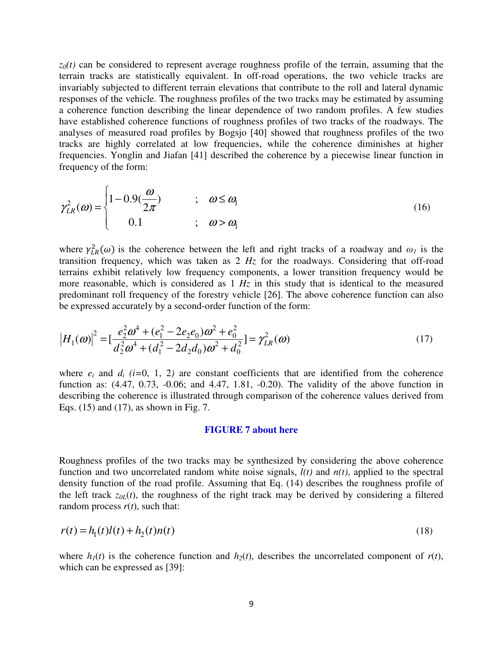$z_0(t)$  can be considered to represent average roughness profile of the terrain, assuming that the terrain tracks are statistically equivalent. In off-road operations, the two vehicle tracks are invariably subjected to different terrain elevations that contribute to the roll and lateral dynamic responses of the vehicle. The roughness profiles of the two tracks may be estimated by assuming a coherence function describing the linear dependence of two random profiles. A few studies have established coherence functions of roughness profiles of two tracks of the roadways. The analyses of measured road profiles by Bogsjo [40] showed that roughness profiles of the two tracks are highly correlated at low frequencies, while the coherence diminishes at higher frequencies. Yonglin and Jiafan [41] described the coherence by a piecewise linear function in frequency of the form:

$$
\gamma_{LR}^2(\omega) = \begin{cases} 1 - 0.9(\frac{\omega}{2\pi}) & ; \quad \omega \le \omega_1 \\ 0.1 & ; \quad \omega > \omega_1 \end{cases}
$$
(16)

where  $\gamma_{LR}^2(\omega)$  is the coherence between the left and right tracks of a roadway and  $\omega_I$  is the transition frequency, which was taken as 2 *Hz* for the roadways. Considering that off-road terrains exhibit relatively low frequency components, a lower transition frequency would be more reasonable, which is considered as 1 *Hz* in this study that is identical to the measured predominant roll frequency of the forestry vehicle [26]. The above coherence function can also be expressed accurately by a second-order function of the form:

$$
\left|H_1(\omega)\right|^2 = \left[\frac{e_2^2 \omega^4 + (e_1^2 - 2e_2 e_0)\omega^2 + e_0^2}{d_2^2 \omega^4 + (d_1^2 - 2d_2 d_0)\omega^2 + d_0^2}\right] = \gamma_{LR}^2(\omega)
$$
\n(17)

where  $e_i$  and  $d_i$  (*i*=0, 1, 2) are constant coefficients that are identified from the coherence function as:  $(4.47, 0.73, -0.06;$  and  $4.47, 1.81, -0.20)$ . The validity of the above function in describing the coherence is illustrated through comparison of the coherence values derived from Eqs. (15) and (17), as shown in Fig. 7.

#### **FIGURE 7 about here**

Roughness profiles of the two tracks may be synthesized by considering the above coherence function and two uncorrelated random white noise signals, *l(t)* and *n(t)*, applied to the spectral density function of the road profile. Assuming that Eq. (14) describes the roughness profile of the left track  $z_{0L}(t)$ , the roughness of the right track may be derived by considering a filtered random process  $r(t)$ , such that:

$$
r(t) = h_1(t)l(t) + h_2(t)n(t)
$$
\n(18)

where  $h_1(t)$  is the coherence function and  $h_2(t)$ , describes the uncorrelated component of  $r(t)$ , which can be expressed as [39]: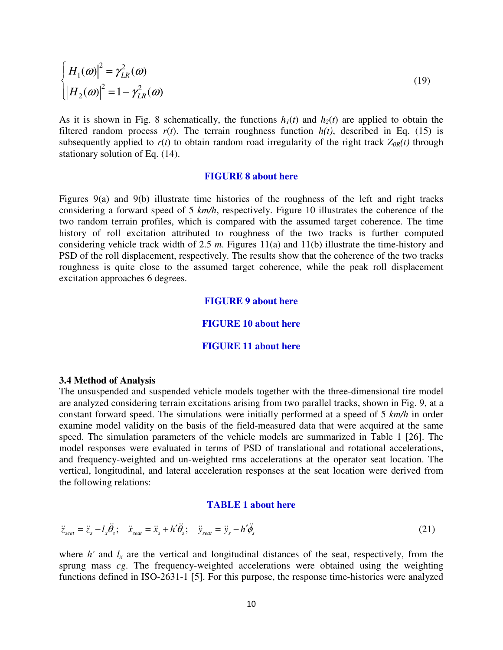$$
\begin{cases}\n\left|H_1(\omega)\right|^2 = \gamma_{LR}^2(\omega) \\
\left|H_2(\omega)\right|^2 = 1 - \gamma_{LR}^2(\omega)\n\end{cases}
$$
\n(19)

As it is shown in Fig. 8 schematically, the functions  $h_1(t)$  and  $h_2(t)$  are applied to obtain the filtered random process  $r(t)$ . The terrain roughness function  $h(t)$ , described in Eq. (15) is subsequently applied to  $r(t)$  to obtain random road irregularity of the right track  $Z_{OR}(t)$  through stationary solution of Eq. (14).

#### **FIGURE 8 about here**

Figures 9(a) and 9(b) illustrate time histories of the roughness of the left and right tracks considering a forward speed of 5 *km/h*, respectively. Figure 10 illustrates the coherence of the two random terrain profiles, which is compared with the assumed target coherence. The time history of roll excitation attributed to roughness of the two tracks is further computed considering vehicle track width of 2.5 *m*. Figures 11(a) and 11(b) illustrate the time-history and PSD of the roll displacement, respectively. The results show that the coherence of the two tracks roughness is quite close to the assumed target coherence, while the peak roll displacement excitation approaches 6 degrees.

#### **FIGURE 9 about here**

#### **FIGURE 10 about here**

#### **FIGURE 11 about here**

#### **3.4 Method of Analysis**

The unsuspended and suspended vehicle models together with the three-dimensional tire model are analyzed considering terrain excitations arising from two parallel tracks, shown in Fig. 9, at a constant forward speed. The simulations were initially performed at a speed of 5 *km/h* in order examine model validity on the basis of the field-measured data that were acquired at the same speed. The simulation parameters of the vehicle models are summarized in Table 1 [26]. The model responses were evaluated in terms of PSD of translational and rotational accelerations, and frequency-weighted and un-weighted rms accelerations at the operator seat location. The vertical, longitudinal, and lateral acceleration responses at the seat location were derived from the following relations:

#### **TABLE 1 about here**

$$
\ddot{z}_{\text{seat}} = \ddot{z}_s - l_x \ddot{\theta}_s; \quad \ddot{x}_{\text{seat}} = \ddot{x}_s + h' \ddot{\theta}_s; \quad \ddot{y}_{\text{seat}} = \ddot{y}_s - h' \ddot{\phi}_s \tag{21}
$$

where  $h'$  and  $l_x$  are the vertical and longitudinal distances of the seat, respectively, from the sprung mass *cg*. The frequency-weighted accelerations were obtained using the weighting functions defined in ISO-2631-1 [5]. For this purpose, the response time-histories were analyzed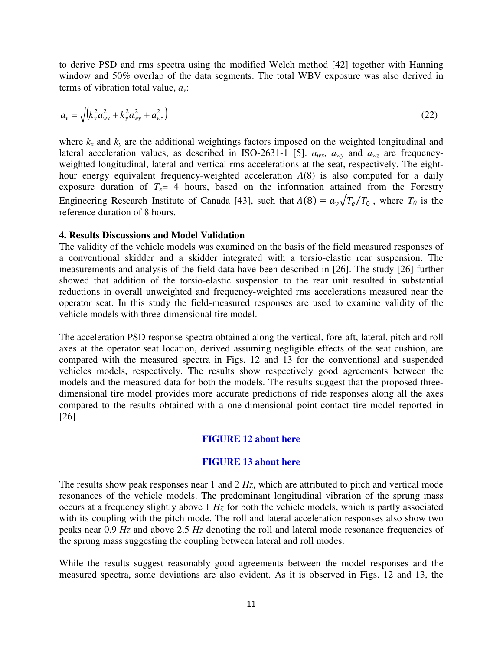to derive PSD and rms spectra using the modified Welch method [42] together with Hanning window and 50% overlap of the data segments. The total WBV exposure was also derived in terms of vibration total value, *av*:

$$
a_{v} = \sqrt{\left(k_{x}^{2} a_{wx}^{2} + k_{y}^{2} a_{wy}^{2} + a_{wz}^{2}\right)}
$$
\n(22)

where  $k_x$  and  $k_y$  are the additional weightings factors imposed on the weighted longitudinal and lateral acceleration values, as described in ISO-2631-1 [5].  $a_{wx}$ ,  $a_{wy}$  and  $a_{wz}$  are frequencyweighted longitudinal, lateral and vertical rms accelerations at the seat, respectively. The eighthour energy equivalent frequency-weighted acceleration *A*(8) is also computed for a daily exposure duration of  $T_e$  4 hours, based on the information attained from the Forestry Engineering Research Institute of Canada [43], such that  $A(8) = a_v\sqrt{T_e/T_0}$ , where  $T_0$  is the reference duration of 8 hours.

## **4. Results Discussions and Model Validation**

The validity of the vehicle models was examined on the basis of the field measured responses of a conventional skidder and a skidder integrated with a torsio-elastic rear suspension. The measurements and analysis of the field data have been described in [26]. The study [26] further showed that addition of the torsio-elastic suspension to the rear unit resulted in substantial reductions in overall unweighted and frequency-weighted rms accelerations measured near the operator seat. In this study the field-measured responses are used to examine validity of the vehicle models with three-dimensional tire model.

The acceleration PSD response spectra obtained along the vertical, fore-aft, lateral, pitch and roll axes at the operator seat location, derived assuming negligible effects of the seat cushion, are compared with the measured spectra in Figs. 12 and 13 for the conventional and suspended vehicles models, respectively. The results show respectively good agreements between the models and the measured data for both the models. The results suggest that the proposed threedimensional tire model provides more accurate predictions of ride responses along all the axes compared to the results obtained with a one-dimensional point-contact tire model reported in [26].

#### **FIGURE 12 about here**

## **FIGURE 13 about here**

The results show peak responses near 1 and 2 *Hz*, which are attributed to pitch and vertical mode resonances of the vehicle models. The predominant longitudinal vibration of the sprung mass occurs at a frequency slightly above 1 *Hz* for both the vehicle models, which is partly associated with its coupling with the pitch mode. The roll and lateral acceleration responses also show two peaks near 0.9 *Hz* and above 2.5 *Hz* denoting the roll and lateral mode resonance frequencies of the sprung mass suggesting the coupling between lateral and roll modes.

While the results suggest reasonably good agreements between the model responses and the measured spectra, some deviations are also evident. As it is observed in Figs. 12 and 13, the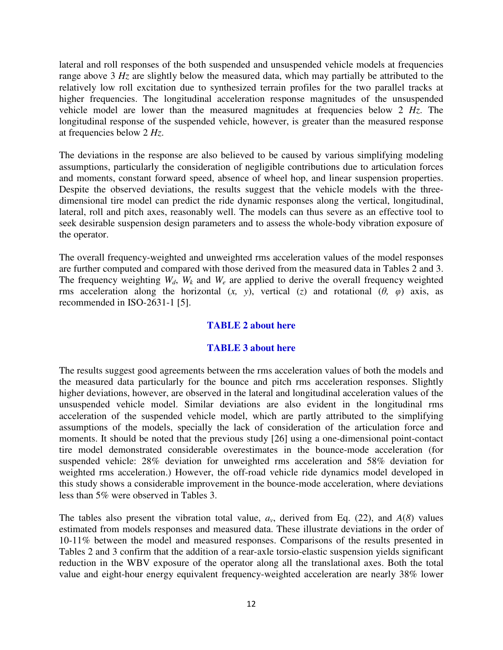lateral and roll responses of the both suspended and unsuspended vehicle models at frequencies range above 3 *Hz* are slightly below the measured data, which may partially be attributed to the relatively low roll excitation due to synthesized terrain profiles for the two parallel tracks at higher frequencies. The longitudinal acceleration response magnitudes of the unsuspended vehicle model are lower than the measured magnitudes at frequencies below 2 *Hz*. The longitudinal response of the suspended vehicle, however, is greater than the measured response at frequencies below 2 *Hz*.

The deviations in the response are also believed to be caused by various simplifying modeling assumptions, particularly the consideration of negligible contributions due to articulation forces and moments, constant forward speed, absence of wheel hop, and linear suspension properties. Despite the observed deviations, the results suggest that the vehicle models with the threedimensional tire model can predict the ride dynamic responses along the vertical, longitudinal, lateral, roll and pitch axes, reasonably well. The models can thus severe as an effective tool to seek desirable suspension design parameters and to assess the whole-body vibration exposure of the operator.

The overall frequency-weighted and unweighted rms acceleration values of the model responses are further computed and compared with those derived from the measured data in Tables 2 and 3. The frequency weighting  $W_d$ ,  $W_k$  and  $W_e$  are applied to derive the overall frequency weighted rms acceleration along the horizontal  $(x, y)$ , vertical  $(z)$  and rotational  $(\theta, \varphi)$  axis, as recommended in ISO-2631-1 [5].

# **TABLE 2 about here**

# **TABLE 3 about here**

The results suggest good agreements between the rms acceleration values of both the models and the measured data particularly for the bounce and pitch rms acceleration responses. Slightly higher deviations, however, are observed in the lateral and longitudinal acceleration values of the unsuspended vehicle model. Similar deviations are also evident in the longitudinal rms acceleration of the suspended vehicle model, which are partly attributed to the simplifying assumptions of the models, specially the lack of consideration of the articulation force and moments. It should be noted that the previous study [26] using a one-dimensional point-contact tire model demonstrated considerable overestimates in the bounce-mode acceleration (for suspended vehicle: 28% deviation for unweighted rms acceleration and 58% deviation for weighted rms acceleration.) However, the off-road vehicle ride dynamics model developed in this study shows a considerable improvement in the bounce-mode acceleration, where deviations less than 5% were observed in Tables 3.

The tables also present the vibration total value,  $a<sub>v</sub>$ , derived from Eq. (22), and  $A(8)$  values estimated from models responses and measured data. These illustrate deviations in the order of 10-11% between the model and measured responses. Comparisons of the results presented in Tables 2 and 3 confirm that the addition of a rear-axle torsio-elastic suspension yields significant reduction in the WBV exposure of the operator along all the translational axes. Both the total value and eight-hour energy equivalent frequency-weighted acceleration are nearly 38% lower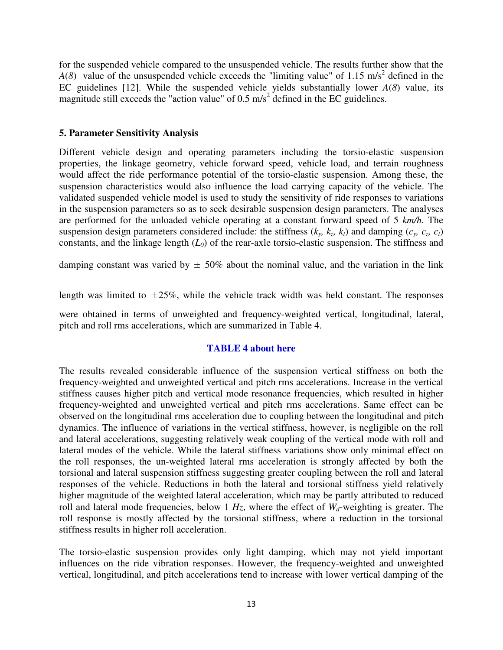for the suspended vehicle compared to the unsuspended vehicle. The results further show that the  $A(8)$  value of the unsuspended vehicle exceeds the "limiting value" of 1.15 m/s<sup>2</sup> defined in the EC guidelines [12]. While the suspended vehicle yields substantially lower *A*(*8*) value, its magnitude still exceeds the "action value" of  $0.5 \text{ m/s}^2$  defined in the EC guidelines.

## **5. Parameter Sensitivity Analysis**

Different vehicle design and operating parameters including the torsio-elastic suspension properties, the linkage geometry, vehicle forward speed, vehicle load, and terrain roughness would affect the ride performance potential of the torsio-elastic suspension. Among these, the suspension characteristics would also influence the load carrying capacity of the vehicle. The validated suspended vehicle model is used to study the sensitivity of ride responses to variations in the suspension parameters so as to seek desirable suspension design parameters. The analyses are performed for the unloaded vehicle operating at a constant forward speed of 5 *km/h*. The suspension design parameters considered include: the stiffness  $(k_y, k_z, k_t)$  and damping  $(c_y, c_z, c_t)$ constants, and the linkage length  $(L_0)$  of the rear-axle torsio-elastic suspension. The stiffness and

damping constant was varied by  $\pm 50\%$  about the nominal value, and the variation in the link

length was limited to  $\pm 25\%$ , while the vehicle track width was held constant. The responses

were obtained in terms of unweighted and frequency-weighted vertical, longitudinal, lateral, pitch and roll rms accelerations, which are summarized in Table 4.

# **TABLE 4 about here**

The results revealed considerable influence of the suspension vertical stiffness on both the frequency-weighted and unweighted vertical and pitch rms accelerations. Increase in the vertical stiffness causes higher pitch and vertical mode resonance frequencies, which resulted in higher frequency-weighted and unweighted vertical and pitch rms accelerations. Same effect can be observed on the longitudinal rms acceleration due to coupling between the longitudinal and pitch dynamics. The influence of variations in the vertical stiffness, however, is negligible on the roll and lateral accelerations, suggesting relatively weak coupling of the vertical mode with roll and lateral modes of the vehicle. While the lateral stiffness variations show only minimal effect on the roll responses, the un-weighted lateral rms acceleration is strongly affected by both the torsional and lateral suspension stiffness suggesting greater coupling between the roll and lateral responses of the vehicle. Reductions in both the lateral and torsional stiffness yield relatively higher magnitude of the weighted lateral acceleration, which may be partly attributed to reduced roll and lateral mode frequencies, below 1 *Hz*, where the effect of *Wd*-weighting is greater. The roll response is mostly affected by the torsional stiffness, where a reduction in the torsional stiffness results in higher roll acceleration.

The torsio-elastic suspension provides only light damping, which may not yield important influences on the ride vibration responses. However, the frequency-weighted and unweighted vertical, longitudinal, and pitch accelerations tend to increase with lower vertical damping of the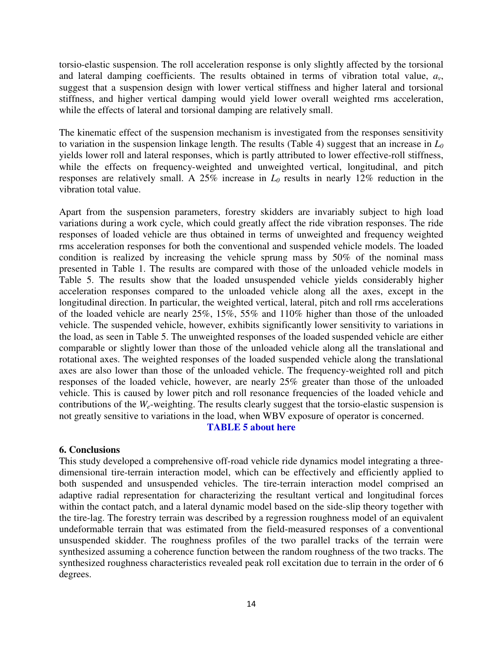torsio-elastic suspension. The roll acceleration response is only slightly affected by the torsional and lateral damping coefficients. The results obtained in terms of vibration total value,  $a_v$ , suggest that a suspension design with lower vertical stiffness and higher lateral and torsional stiffness, and higher vertical damping would yield lower overall weighted rms acceleration, while the effects of lateral and torsional damping are relatively small.

The kinematic effect of the suspension mechanism is investigated from the responses sensitivity to variation in the suspension linkage length. The results (Table 4) suggest that an increase in *L<sup>0</sup>* yields lower roll and lateral responses, which is partly attributed to lower effective-roll stiffness, while the effects on frequency-weighted and unweighted vertical, longitudinal, and pitch responses are relatively small. A 25% increase in *L0* results in nearly 12% reduction in the vibration total value.

Apart from the suspension parameters, forestry skidders are invariably subject to high load variations during a work cycle, which could greatly affect the ride vibration responses. The ride responses of loaded vehicle are thus obtained in terms of unweighted and frequency weighted rms acceleration responses for both the conventional and suspended vehicle models. The loaded condition is realized by increasing the vehicle sprung mass by 50% of the nominal mass presented in Table 1. The results are compared with those of the unloaded vehicle models in Table 5. The results show that the loaded unsuspended vehicle yields considerably higher acceleration responses compared to the unloaded vehicle along all the axes, except in the longitudinal direction. In particular, the weighted vertical, lateral, pitch and roll rms accelerations of the loaded vehicle are nearly 25%, 15%, 55% and 110% higher than those of the unloaded vehicle. The suspended vehicle, however, exhibits significantly lower sensitivity to variations in the load, as seen in Table 5. The unweighted responses of the loaded suspended vehicle are either comparable or slightly lower than those of the unloaded vehicle along all the translational and rotational axes. The weighted responses of the loaded suspended vehicle along the translational axes are also lower than those of the unloaded vehicle. The frequency-weighted roll and pitch responses of the loaded vehicle, however, are nearly 25% greater than those of the unloaded vehicle. This is caused by lower pitch and roll resonance frequencies of the loaded vehicle and contributions of the *We*-weighting. The results clearly suggest that the torsio-elastic suspension is not greatly sensitive to variations in the load, when WBV exposure of operator is concerned.

## **TABLE 5 about here**

## **6. Conclusions**

This study developed a comprehensive off-road vehicle ride dynamics model integrating a threedimensional tire-terrain interaction model, which can be effectively and efficiently applied to both suspended and unsuspended vehicles. The tire-terrain interaction model comprised an adaptive radial representation for characterizing the resultant vertical and longitudinal forces within the contact patch, and a lateral dynamic model based on the side-slip theory together with the tire-lag. The forestry terrain was described by a regression roughness model of an equivalent undeformable terrain that was estimated from the field-measured responses of a conventional unsuspended skidder. The roughness profiles of the two parallel tracks of the terrain were synthesized assuming a coherence function between the random roughness of the two tracks. The synthesized roughness characteristics revealed peak roll excitation due to terrain in the order of 6 degrees.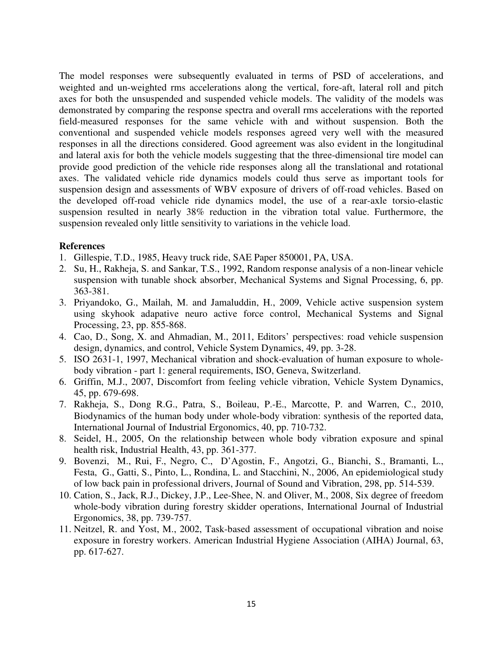The model responses were subsequently evaluated in terms of PSD of accelerations, and weighted and un-weighted rms accelerations along the vertical, fore-aft, lateral roll and pitch axes for both the unsuspended and suspended vehicle models. The validity of the models was demonstrated by comparing the response spectra and overall rms accelerations with the reported field-measured responses for the same vehicle with and without suspension. Both the conventional and suspended vehicle models responses agreed very well with the measured responses in all the directions considered. Good agreement was also evident in the longitudinal and lateral axis for both the vehicle models suggesting that the three-dimensional tire model can provide good prediction of the vehicle ride responses along all the translational and rotational axes. The validated vehicle ride dynamics models could thus serve as important tools for suspension design and assessments of WBV exposure of drivers of off-road vehicles. Based on the developed off-road vehicle ride dynamics model, the use of a rear-axle torsio-elastic suspension resulted in nearly 38% reduction in the vibration total value. Furthermore, the suspension revealed only little sensitivity to variations in the vehicle load.

## **References**

- 1. Gillespie, T.D., 1985, Heavy truck ride, SAE Paper 850001, PA, USA.
- 2. Su, H., Rakheja, S. and Sankar, T.S., 1992, Random response analysis of a non-linear vehicle suspension with tunable shock absorber, Mechanical Systems and Signal Processing, 6, pp. 363-381.
- 3. Priyandoko, G., Mailah, M. and Jamaluddin, H., 2009, Vehicle active suspension system using skyhook adapative neuro active force control, Mechanical Systems and Signal Processing, 23, pp. 855-868.
- 4. Cao, D., Song, X. and Ahmadian, M., 2011, Editors' perspectives: road vehicle suspension design, dynamics, and control, Vehicle System Dynamics, 49, pp. 3-28.
- 5. ISO 2631-1, 1997, Mechanical vibration and shock-evaluation of human exposure to wholebody vibration - part 1: general requirements, ISO, Geneva, Switzerland.
- 6. Griffin, M.J., 2007, Discomfort from feeling vehicle vibration, Vehicle System Dynamics, 45, pp. 679-698.
- 7. Rakheja, S., Dong R.G., Patra, S., Boileau, P.-E., Marcotte, P. and Warren, C., 2010, Biodynamics of the human body under whole-body vibration: synthesis of the reported data, International Journal of Industrial Ergonomics, 40, pp. 710-732.
- 8. Seidel, H., 2005, On the relationship between whole body vibration exposure and spinal health risk, Industrial Health, 43, pp. 361-377.
- 9. Bovenzi, M., Rui, F., Negro, C., D'Agostin, F., Angotzi, G., Bianchi, S., Bramanti, L., Festa, G., Gatti, S., Pinto, L., Rondina, L. and Stacchini, N., 2006, An epidemiological study of low back pain in professional drivers, Journal of Sound and Vibration, 298, pp. 514-539.
- 10. Cation, S., Jack, R.J., Dickey, J.P., Lee-Shee, N. and Oliver, M., 2008, Six degree of freedom whole-body vibration during forestry skidder operations, International Journal of Industrial Ergonomics, 38, pp. 739-757.
- 11. Neitzel, R. and Yost, M., 2002, Task-based assessment of occupational vibration and noise exposure in forestry workers. American Industrial Hygiene Association (AIHA) Journal, 63, pp. 617-627.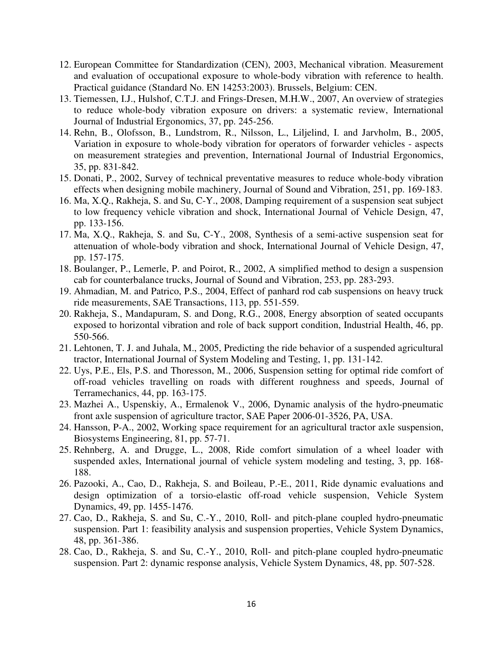- 12. European Committee for Standardization (CEN), 2003, Mechanical vibration. Measurement and evaluation of occupational exposure to whole-body vibration with reference to health. Practical guidance (Standard No. EN 14253:2003). Brussels, Belgium: CEN.
- 13. Tiemessen, I.J., Hulshof, C.T.J. and Frings-Dresen, M.H.W., 2007, An overview of strategies to reduce whole-body vibration exposure on drivers: a systematic review, International Journal of Industrial Ergonomics, 37, pp. 245-256.
- 14. Rehn, B., Olofsson, B., Lundstrom, R., Nilsson, L., Liljelind, I. and Jarvholm, B., 2005, Variation in exposure to whole-body vibration for operators of forwarder vehicles - aspects on measurement strategies and prevention, International Journal of Industrial Ergonomics, 35, pp. 831-842.
- 15. Donati, P., 2002, Survey of technical preventative measures to reduce whole-body vibration effects when designing mobile machinery, Journal of Sound and Vibration, 251, pp. 169-183.
- 16. Ma, X.Q., Rakheja, S. and Su, C-Y., 2008, Damping requirement of a suspension seat subject to low frequency vehicle vibration and shock, International Journal of Vehicle Design, 47, pp. 133-156.
- 17. Ma, X.Q., Rakheja, S. and Su, C-Y., 2008, Synthesis of a semi-active suspension seat for attenuation of whole-body vibration and shock, International Journal of Vehicle Design, 47, pp. 157-175.
- 18. Boulanger, P., Lemerle, P. and Poirot, R., 2002, A simplified method to design a suspension cab for counterbalance trucks, Journal of Sound and Vibration, 253, pp. 283-293.
- 19. Ahmadian, M. and Patrico, P.S., 2004, Effect of panhard rod cab suspensions on heavy truck ride measurements, SAE Transactions, 113, pp. 551-559.
- 20. Rakheja, S., Mandapuram, S. and Dong, R.G., 2008, Energy absorption of seated occupants exposed to horizontal vibration and role of back support condition, Industrial Health, 46, pp. 550-566.
- 21. Lehtonen, T. J. and Juhala, M., 2005, Predicting the ride behavior of a suspended agricultural tractor, International Journal of System Modeling and Testing, 1, pp. 131-142.
- 22. Uys, P.E., Els, P.S. and Thoresson, M., 2006, Suspension setting for optimal ride comfort of off-road vehicles travelling on roads with different roughness and speeds, Journal of Terramechanics, 44, pp. 163-175.
- 23. Mazhei A., Uspenskiy, A., Ermalenok V., 2006, Dynamic analysis of the hydro-pneumatic front axle suspension of agriculture tractor, SAE Paper 2006-01-3526, PA, USA.
- 24. Hansson, P-A., 2002, Working space requirement for an agricultural tractor axle suspension, Biosystems Engineering, 81, pp. 57-71.
- 25. Rehnberg, A. and Drugge, L., 2008, Ride comfort simulation of a wheel loader with suspended axles, International journal of vehicle system modeling and testing, 3, pp. 168- 188.
- 26. Pazooki, A., Cao, D., Rakheja, S. and Boileau, P.-E., 2011, Ride dynamic evaluations and design optimization of a torsio-elastic off-road vehicle suspension, Vehicle System Dynamics, 49, pp. 1455-1476.
- 27. Cao, D., Rakheja, S. and Su, C.-Y., 2010, Roll- and pitch-plane coupled hydro-pneumatic suspension. Part 1: feasibility analysis and suspension properties, Vehicle System Dynamics, 48, pp. 361-386.
- 28. Cao, D., Rakheja, S. and Su, C.-Y., 2010, Roll- and pitch-plane coupled hydro-pneumatic suspension. Part 2: dynamic response analysis, Vehicle System Dynamics, 48, pp. 507-528.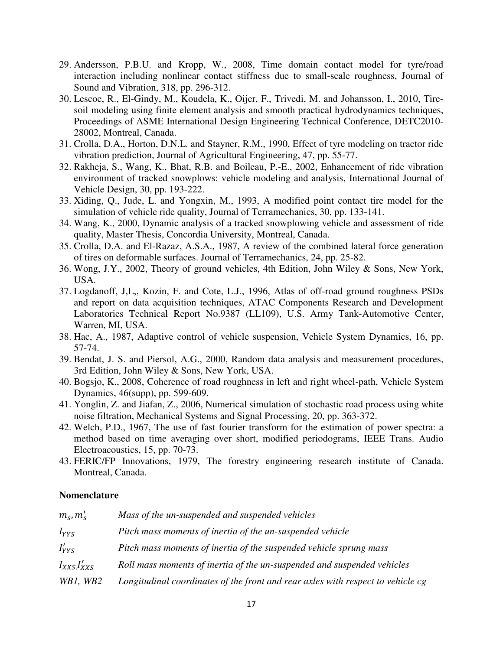- 29. Andersson, P.B.U. and Kropp, W., 2008, Time domain contact model for tyre/road interaction including nonlinear contact stiffness due to small-scale roughness, Journal of Sound and Vibration, 318, pp. 296-312.
- 30. Lescoe, R., El-Gindy, M., Koudela, K., Oijer, F., Trivedi, M. and Johansson, I., 2010, Tiresoil modeling using finite element analysis and smooth practical hydrodynamics techniques, Proceedings of ASME International Design Engineering Technical Conference, DETC2010- 28002, Montreal, Canada.
- 31. Crolla, D.A., Horton, D.N.L. and Stayner, R.M., 1990, Effect of tyre modeling on tractor ride vibration prediction, Journal of Agricultural Engineering, 47, pp. 55-77.
- 32. Rakheja, S., Wang, K., Bhat, R.B. and Boileau, P.-E., 2002, Enhancement of ride vibration environment of tracked snowplows: vehicle modeling and analysis, International Journal of Vehicle Design, 30, pp. 193-222.
- 33. Xiding, Q., Jude, L. and Yongxin, M., 1993, A modified point contact tire model for the simulation of vehicle ride quality, Journal of Terramechanics, 30, pp. 133-141.
- 34. Wang, K., 2000, Dynamic analysis of a tracked snowplowing vehicle and assessment of ride quality, Master Thesis, Concordia University, Montreal, Canada.
- 35. Crolla, D.A. and El-Razaz, A.S.A., 1987, A review of the combined lateral force generation of tires on deformable surfaces. Journal of Terramechanics, 24, pp. 25-82.
- 36. Wong, J.Y., 2002, Theory of ground vehicles, 4th Edition, John Wiley & Sons, New York, USA.
- 37. Logdanoff, J,L,, Kozin, F. and Cote, L.J., 1996, Atlas of off-road ground roughness PSDs and report on data acquisition techniques, ATAC Components Research and Development Laboratories Technical Report No.9387 (LL109), U.S. Army Tank-Automotive Center, Warren, MI, USA.
- 38. Hac, A., 1987, Adaptive control of vehicle suspension, Vehicle System Dynamics, 16, pp. 57-74.
- 39. Bendat, J. S. and Piersol, A.G., 2000, Random data analysis and measurement procedures, 3rd Edition, John Wiley & Sons, New York, USA.
- 40. Bogsjo, K., 2008, Coherence of road roughness in left and right wheel-path, Vehicle System Dynamics, 46(supp), pp. 599-609.
- 41. Yonglin, Z. and Jiafan, Z., 2006, Numerical simulation of stochastic road process using white noise filtration, Mechanical Systems and Signal Processing, 20, pp. 363-372.
- 42. Welch, P.D., 1967, The use of fast fourier transform for the estimation of power spectra: a method based on time averaging over short, modified periodograms, IEEE Trans. Audio Electroacoustics, 15, pp. 70-73.
- 43. FERIC/FP Innovations, 1979, The forestry engineering research institute of Canada. Montreal, Canada.

## **Nomenclature**

| $m_s, m'_s$       | Mass of the un-suspended and suspended vehicles                                 |
|-------------------|---------------------------------------------------------------------------------|
| $I_{YYS}$         | Pitch mass moments of inertia of the un-suspended vehicle                       |
| $I'_{YYS}$        | Pitch mass moments of inertia of the suspended vehicle sprung mass              |
| $I_{XXS}I'_{XXS}$ | Roll mass moments of inertia of the un-suspended and suspended vehicles         |
| WB1, WB2          | Longitudinal coordinates of the front and rear axles with respect to vehicle cg |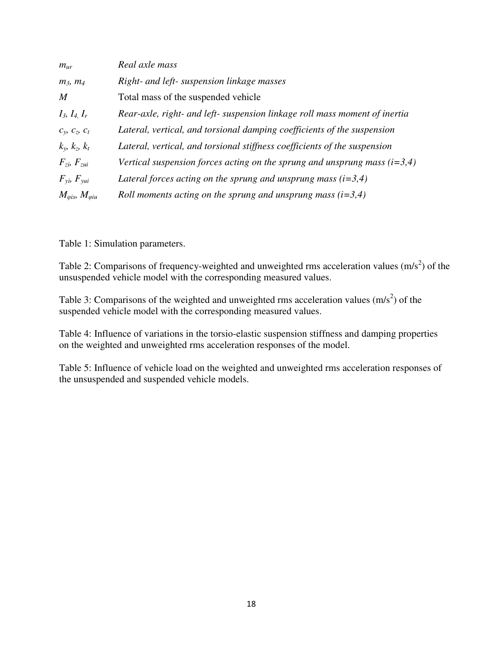| $m_{ur}$                             | Real axle mass                                                              |
|--------------------------------------|-----------------------------------------------------------------------------|
| $m_3, m_4$                           | Right- and left- suspension linkage masses                                  |
| $\boldsymbol{M}$                     | Total mass of the suspended vehicle                                         |
| $I_3, I_4, I_r$                      | Rear-axle, right- and left- suspension linkage roll mass moment of inertia  |
| $c_y, c_z, c_t$                      | Lateral, vertical, and torsional damping coefficients of the suspension     |
| $k_{v}$ , $k_{z}$ , $k_{t}$          | Lateral, vertical, and torsional stiffness coefficients of the suspension   |
| $F_{zi}$ , $F_{zui}$                 | Vertical suspension forces acting on the sprung and unsprung mass $(i=3,4)$ |
| $F_{\rm yi}$ , $F_{\rm yui}$         | Lateral forces acting on the sprung and unsprung mass $(i=3,4)$             |
| $M_{\varphi is}$ , $M_{\varphi i u}$ | Roll moments acting on the sprung and unsprung mass $(i=3,4)$               |

Table 1: Simulation parameters.

Table 2: Comparisons of frequency-weighted and unweighted rms acceleration values  $(m/s<sup>2</sup>)$  of the unsuspended vehicle model with the corresponding measured values.

Table 3: Comparisons of the weighted and unweighted rms acceleration values  $(m/s<sup>2</sup>)$  of the suspended vehicle model with the corresponding measured values.

Table 4: Influence of variations in the torsio-elastic suspension stiffness and damping properties on the weighted and unweighted rms acceleration responses of the model.

Table 5: Influence of vehicle load on the weighted and unweighted rms acceleration responses of the unsuspended and suspended vehicle models.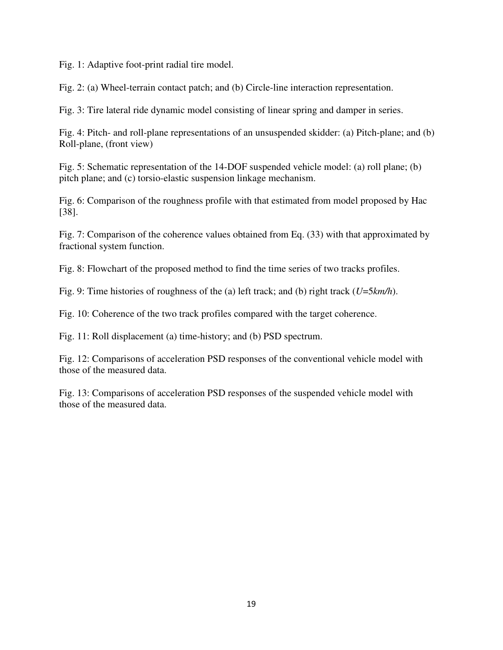Fig. 1: Adaptive foot-print radial tire model.

Fig. 2: (a) Wheel-terrain contact patch; and (b) Circle-line interaction representation.

Fig. 3: Tire lateral ride dynamic model consisting of linear spring and damper in series.

Fig. 4: Pitch- and roll-plane representations of an unsuspended skidder: (a) Pitch-plane; and (b) Roll-plane, (front view)

Fig. 5: Schematic representation of the 14-DOF suspended vehicle model: (a) roll plane; (b) pitch plane; and (c) torsio-elastic suspension linkage mechanism.

Fig. 6: Comparison of the roughness profile with that estimated from model proposed by Hac [38].

Fig. 7: Comparison of the coherence values obtained from Eq. (33) with that approximated by fractional system function.

Fig. 8: Flowchart of the proposed method to find the time series of two tracks profiles.

Fig. 9: Time histories of roughness of the (a) left track; and (b) right track (*U*=5*km/h*).

Fig. 10: Coherence of the two track profiles compared with the target coherence.

Fig. 11: Roll displacement (a) time-history; and (b) PSD spectrum.

Fig. 12: Comparisons of acceleration PSD responses of the conventional vehicle model with those of the measured data.

Fig. 13: Comparisons of acceleration PSD responses of the suspended vehicle model with those of the measured data.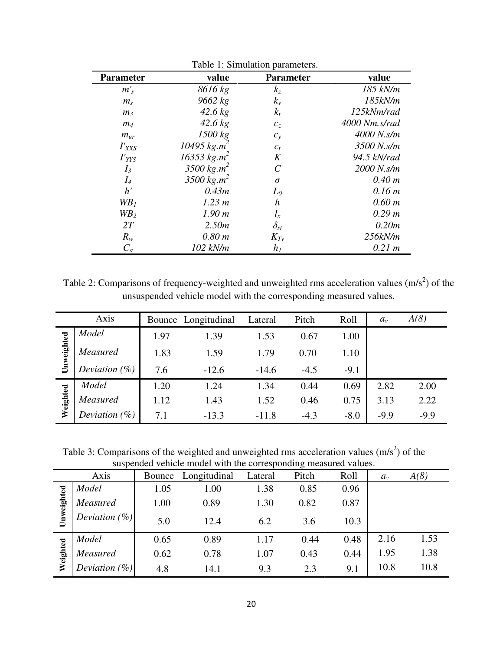| <b>Parameter</b> | value                        | <b>Parameter</b>      | value         |
|------------------|------------------------------|-----------------------|---------------|
| $m'_{s}$         | 8616 kg                      | $k_z$                 | 185 kN/m      |
| m <sub>s</sub>   | 9662 kg                      | $k_{y}$               | 185kN/m       |
| m <sub>3</sub>   | $42.6$ kg                    | $k_t$                 | 125kNm/rad    |
| m <sub>4</sub>   | $42.6$ kg                    | $c_z$                 | 4000 Nm.s/rad |
| $m_{ur}$         | 1500 kg                      | $c_{y}$               | 4000 N.s/m    |
| $I'_{XXS}$       | 10495 kg.m <sup>2</sup>      | $c_t$                 | 3500 N.s/m    |
| $I'_{YYS}$       | $16353 \text{ kg} \cdot m^2$ | K                     | 94.5 kN/rad   |
| $I_3$            | 3500 $kg.m^2$                | $\mathcal{C}_{0}^{0}$ | 2000 N.s/m    |
| $I_4$            | 3500 $kg.m^2$                | $\sigma$              | 0.40 m        |
| h'               | 0.43m                        | $L_0$                 | 0.16 m        |
| WB <sub>1</sub>  | 1.23 m                       | $\boldsymbol{h}$      | $0.60 \; m$   |
| $W B_2$          | 1.90 m                       | $l_{x}$               | 0.29 m        |
| 2T               | 2.50m                        | $\delta_{st}$         | 0.20m         |
| $R_{w}$          | 0.80 m                       | $K_{Tv}$              | 256kN/m       |
| $C_a$            | 102 kN/m                     | $h_I$                 | 0.21 m        |

Table 1: Simulation parameters.

Table 2: Comparisons of frequency-weighted and unweighted rms acceleration values  $(m/s<sup>2</sup>)$  of the unsuspended vehicle model with the corresponding measured values.

|            | Axis             |      | Bounce Longitudinal | Lateral | Pitch  | Roll   | $a_{\nu}$ | A(8)   |
|------------|------------------|------|---------------------|---------|--------|--------|-----------|--------|
|            | Model            | 1.97 | 1.39                | 1.53    | 0.67   | 1.00   |           |        |
| Unweighted | Measured         | 1.83 | 1.59                | 1.79    | 0.70   | 1.10   |           |        |
|            | Deviation $(\%)$ | 7.6  | $-12.6$             | $-14.6$ | $-4.5$ | $-9.1$ |           |        |
|            | Model            | 1.20 | 1.24                | 1.34    | 0.44   | 0.69   | 2.82      | 2.00   |
| Weighted   | Measured         | 1.12 | 1.43                | 1.52    | 0.46   | 0.75   | 3.13      | 2.22   |
|            | Deviation $(\%)$ | 7.1  | $-13.3$             | $-11.8$ | $-4.3$ | $-8.0$ | $-9.9$    | $-9.9$ |

Table 3: Comparisons of the weighted and unweighted rms acceleration values  $(m/s<sup>2</sup>)$  of the suspended vehicle model with the corresponding measured values.

|            | Axis             | Bounce | Longitudinal | Lateral | ັ<br>Pitch | Roll | $a_{\nu}$ | A(8) |
|------------|------------------|--------|--------------|---------|------------|------|-----------|------|
| Unweighted | Model            | 1.05   | 1.00         | 1.38    | 0.85       | 0.96 |           |      |
|            | Measured         | 1.00   | 0.89         | 1.30    | 0.82       | 0.87 |           |      |
|            | Deviation $(\%)$ | 5.0    | 12.4         | 6.2     | 3.6        | 10.3 |           |      |
|            | Model            | 0.65   | 0.89         | 1.17    | 0.44       | 0.48 | 2.16      | 1.53 |
| Weighted   | Measured         | 0.62   | 0.78         | 1.07    | 0.43       | 0.44 | 1.95      | 1.38 |
|            | Deviation (%)    | 4.8    | 14.1         | 9.3     | 2.3        | 9.1  | 10.8      | 10.8 |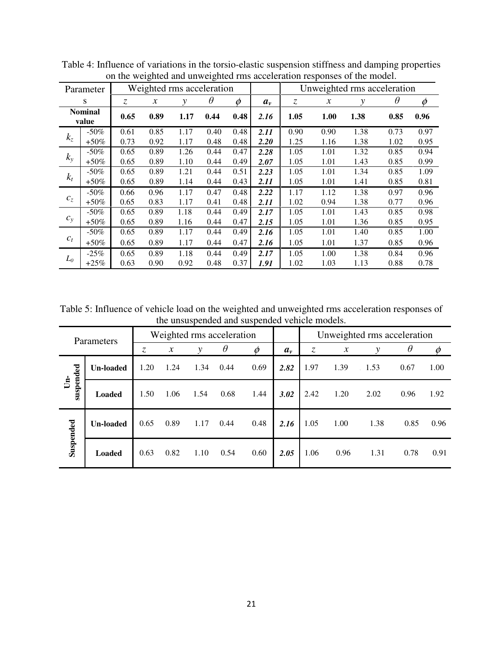|                         | on the weighted and anweighted rins acceleration responses of the model. |      |                           |      |          |             |         |                             |                            |      |          |      |  |
|-------------------------|--------------------------------------------------------------------------|------|---------------------------|------|----------|-------------|---------|-----------------------------|----------------------------|------|----------|------|--|
|                         | Parameter                                                                |      | Weighted rms acceleration |      |          |             |         | Unweighted rms acceleration |                            |      |          |      |  |
|                         | S                                                                        | Z.   | $\chi$                    | ν    | $\theta$ | $\emptyset$ | $a_{v}$ | $\mathcal{Z}$               | $\boldsymbol{\mathcal{X}}$ | у    | $\theta$ | Ø    |  |
| <b>Nominal</b><br>value |                                                                          | 0.65 | 0.89                      | 1.17 | 0.44     | 0.48        | 2.16    | 1.05                        | 1.00                       | 1.38 | 0.85     | 0.96 |  |
|                         | $-50\%$                                                                  | 0.61 | 0.85                      | 1.17 | 0.40     | 0.48        | 2.11    | 0.90                        | 0.90                       | 1.38 | 0.73     | 0.97 |  |
| $k_z$                   | $+50\%$                                                                  | 0.73 | 0.92                      | 1.17 | 0.48     | 0.48        | 2.20    | 1.25                        | 1.16                       | 1.38 | 1.02     | 0.95 |  |
| $k_{y}$                 | $-50\%$                                                                  | 0.65 | 0.89                      | 1.26 | 0.44     | 0.47        | 2.28    | 1.05                        | 1.01                       | 1.32 | 0.85     | 0.94 |  |
|                         | $+50\%$                                                                  | 0.65 | 0.89                      | 1.10 | 0.44     | 0.49        | 2.07    | 1.05                        | 1.01                       | 1.43 | 0.85     | 0.99 |  |
|                         | $-50\%$                                                                  | 0.65 | 0.89                      | 1.21 | 0.44     | 0.51        | 2.23    | 1.05                        | 1.01                       | 1.34 | 0.85     | 1.09 |  |
| $k_t$                   | $+50\%$                                                                  | 0.65 | 0.89                      | 1.14 | 0.44     | 0.43        | 2.11    | 1.05                        | 1.01                       | 1.41 | 0.85     | 0.81 |  |
|                         | $-50\%$                                                                  | 0.66 | 0.96                      | 1.17 | 0.47     | 0.48        | 2.22    | 1.17                        | 1.12                       | 1.38 | 0.97     | 0.96 |  |
| $c_z$                   | $+50\%$                                                                  | 0.65 | 0.83                      | 1.17 | 0.41     | 0.48        | 2.11    | 1.02                        | 0.94                       | 1.38 | 0.77     | 0.96 |  |
|                         | $-50\%$                                                                  | 0.65 | 0.89                      | 1.18 | 0.44     | 0.49        | 2.17    | 1.05                        | 1.01                       | 1.43 | 0.85     | 0.98 |  |
| $c_y$                   | $+50\%$                                                                  | 0.65 | 0.89                      | 1.16 | 0.44     | 0.47        | 2.15    | 1.05                        | 1.01                       | 1.36 | 0.85     | 0.95 |  |
|                         | $-50\%$                                                                  | 0.65 | 0.89                      | 1.17 | 0.44     | 0.49        | 2.16    | 1.05                        | 1.01                       | 1.40 | 0.85     | 1.00 |  |
| $c_t$                   | $+50\%$                                                                  | 0.65 | 0.89                      | 1.17 | 0.44     | 0.47        | 2.16    | 1.05                        | 1.01                       | 1.37 | 0.85     | 0.96 |  |
|                         | $-25\%$                                                                  | 0.65 | 0.89                      | 1.18 | 0.44     | 0.49        | 2.17    | 1.05                        | 1.00                       | 1.38 | 0.84     | 0.96 |  |
| $L_{0}$                 | $+25\%$                                                                  | 0.63 | 0.90                      | 0.92 | 0.48     | 0.37        | 1.91    | 1.02                        | 1.03                       | 1.13 | 0.88     | 0.78 |  |

Table 4: Influence of variations in the torsio-elastic suspension stiffness and damping properties on the weighted and unweighted rms acceleration responses of the model.

Table 5: Influence of vehicle load on the weighted and unweighted rms acceleration responses of the unsuspended and suspended vehicle models.

| Parameters                |                  | Weighted rms acceleration |                     |      |          |               |           | Unweighted rms acceleration |                     |      |          |      |  |
|---------------------------|------------------|---------------------------|---------------------|------|----------|---------------|-----------|-----------------------------|---------------------|------|----------|------|--|
|                           |                  | Z.                        | $\boldsymbol{\chi}$ | ν    | $\theta$ | $\varnothing$ | $a_{\nu}$ | Z.                          | $\boldsymbol{\chi}$ | v    | $\theta$ |      |  |
| suspended<br>$\mathbf{E}$ | <b>Un-loaded</b> | 1.20                      | 1.24                | 1.34 | 0.44     | 0.69          | 2.82      | 1.97                        | 1.39                | 1.53 | 0.67     | 1.00 |  |
|                           | <b>Loaded</b>    | 1.50                      | 1.06                | 1.54 | 0.68     | 1.44          | 3.02      | 2.42                        | 1.20                | 2.02 | 0.96     | 1.92 |  |
| Suspended                 | <b>Un-loaded</b> | 0.65                      | 0.89                | 1.17 | 0.44     | 0.48          | 2.16      | 1.05                        | 1.00                | 1.38 | 0.85     | 0.96 |  |
|                           | <b>Loaded</b>    | 0.63                      | 0.82                | 1.10 | 0.54     | 0.60          | 2.05      | 1.06                        | 0.96                | 1.31 | 0.78     | 0.91 |  |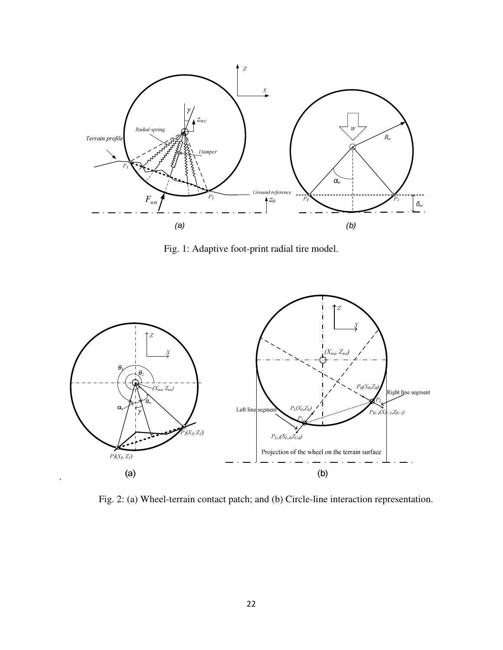

Fig. 1: Adaptive foot-print radial tire model.



Fig. 2: (a) Wheel-terrain contact patch; and (b) Circle-line interaction representation.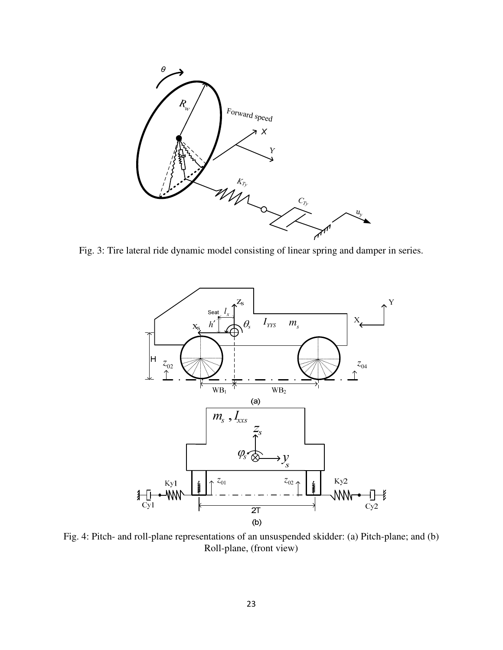

Fig. 3: Tire lateral ride dynamic model consisting of linear spring and damper in series.



Fig. 4: Pitch- and roll-plane representations of an unsuspended skidder: (a) Pitch-plane; and (b) Roll-plane, (front view)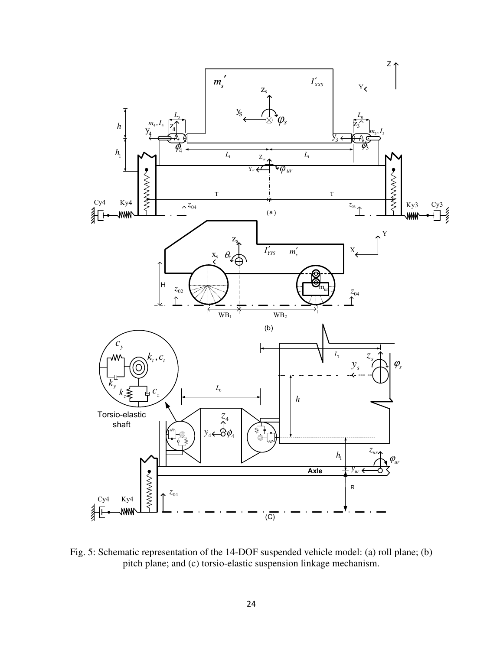

Fig. 5: Schematic representation of the 14-DOF suspended vehicle model: (a) roll plane; (b) pitch plane; and (c) torsio-elastic suspension linkage mechanism.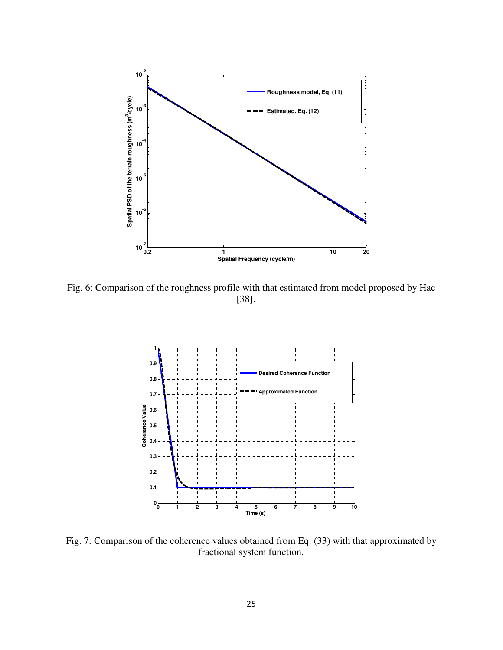

Fig. 6: Comparison of the roughness profile with that estimated from model proposed by Hac [38].



Fig. 7: Comparison of the coherence values obtained from Eq. (33) with that approximated by fractional system function.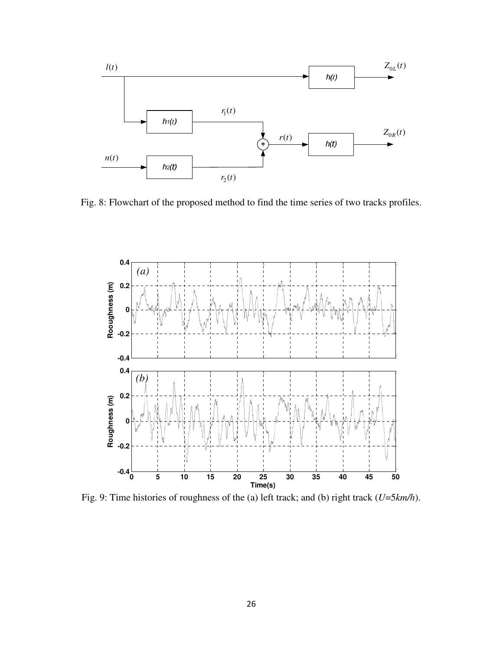

Fig. 8: Flowchart of the proposed method to find the time series of two tracks profiles.



Fig. 9: Time histories of roughness of the (a) left track; and (b) right track (*U*=5*km/h*).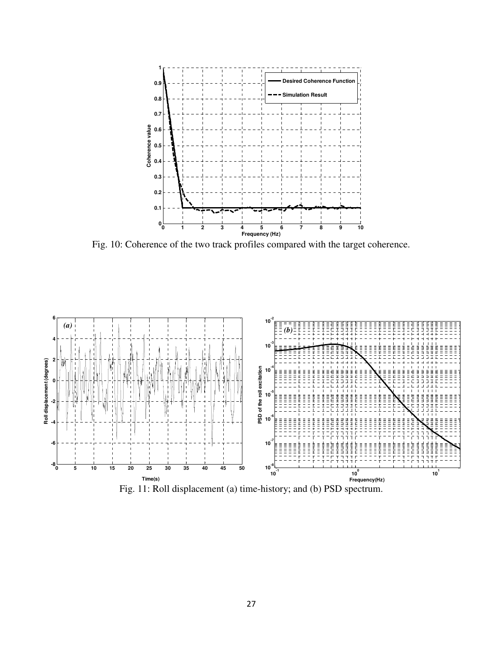

Fig. 10: Coherence of the two track profiles compared with the target coherence.



Fig. 11: Roll displacement (a) time-history; and (b) PSD spectrum.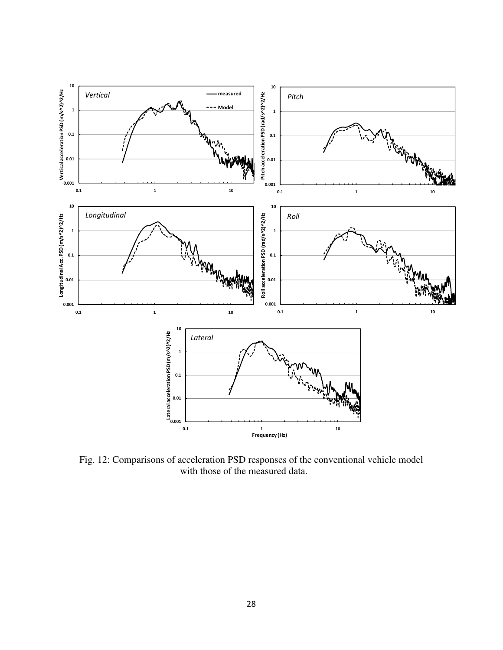

Fig. 12: Comparisons of acceleration PSD responses of the conventional vehicle model with those of the measured data.